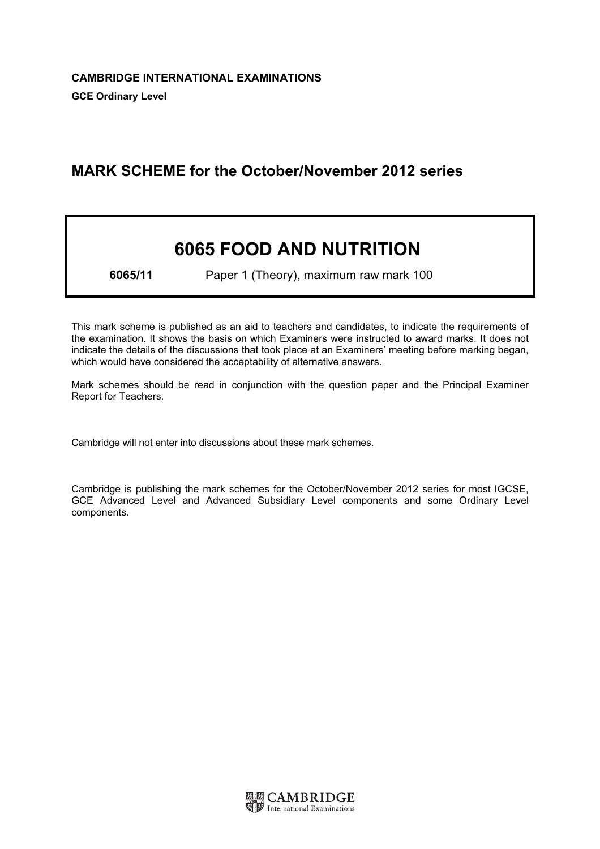# MARK SCHEME for the October/November 2012 series

# 6065 FOOD AND NUTRITION

6065/11 Paper 1 (Theory), maximum raw mark 100

This mark scheme is published as an aid to teachers and candidates, to indicate the requirements of the examination. It shows the basis on which Examiners were instructed to award marks. It does not indicate the details of the discussions that took place at an Examiners' meeting before marking began, which would have considered the acceptability of alternative answers.

Mark schemes should be read in conjunction with the question paper and the Principal Examiner Report for Teachers.

Cambridge will not enter into discussions about these mark schemes.

Cambridge is publishing the mark schemes for the October/November 2012 series for most IGCSE, GCE Advanced Level and Advanced Subsidiary Level components and some Ordinary Level components.

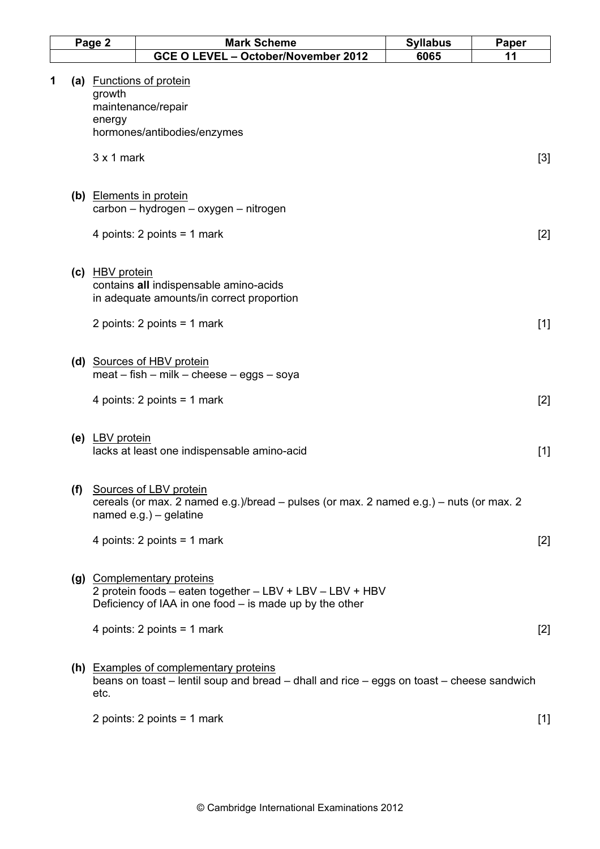|   | Page 2           | <b>Mark Scheme</b>                                                                                                                                    | <b>Syllabus</b> | Paper |
|---|------------------|-------------------------------------------------------------------------------------------------------------------------------------------------------|-----------------|-------|
|   |                  | GCE O LEVEL - October/November 2012                                                                                                                   | 6065            | 11    |
| 1 | growth<br>energy | (a) Functions of protein<br>maintenance/repair<br>hormones/antibodies/enzymes                                                                         |                 |       |
|   | $3x1$ mark       |                                                                                                                                                       |                 | $[3]$ |
|   |                  | (b) Elements in protein<br>carbon - hydrogen - oxygen - nitrogen                                                                                      |                 |       |
|   |                  | 4 points: 2 points = 1 mark                                                                                                                           |                 | $[2]$ |
|   | (c) HBV protein  | contains all indispensable amino-acids<br>in adequate amounts/in correct proportion                                                                   |                 |       |
|   |                  | 2 points: $2$ points = $1$ mark                                                                                                                       |                 | $[1]$ |
|   |                  | (d) Sources of HBV protein<br>$meat - fish - milk - cheese - eggs - soya$                                                                             |                 |       |
|   |                  | 4 points: $2$ points = 1 mark                                                                                                                         |                 | $[2]$ |
|   | (e) LBV protein  | lacks at least one indispensable amino-acid                                                                                                           |                 | $[1]$ |
|   |                  | (f) Sources of LBV protein<br>cereals (or max. 2 named e.g.)/bread $-$ pulses (or max. 2 named e.g.) $-$ nuts (or max. 2<br>named $e.g.$ ) – gelatine |                 |       |
|   |                  | 4 points: $2$ points = 1 mark                                                                                                                         |                 | $[2]$ |
|   |                  | (g) Complementary proteins<br>2 protein foods - eaten together - LBV + LBV - LBV + HBV<br>Deficiency of IAA in one food $-$ is made up by the other   |                 |       |
|   |                  | 4 points: $2$ points = 1 mark                                                                                                                         |                 | $[2]$ |
|   | etc.             | (h) Examples of complementary proteins<br>beans on toast – lentil soup and bread – dhall and rice – eggs on toast – cheese sandwich                   |                 |       |
|   |                  | 2 points: $2$ points = $1$ mark                                                                                                                       |                 | $[1]$ |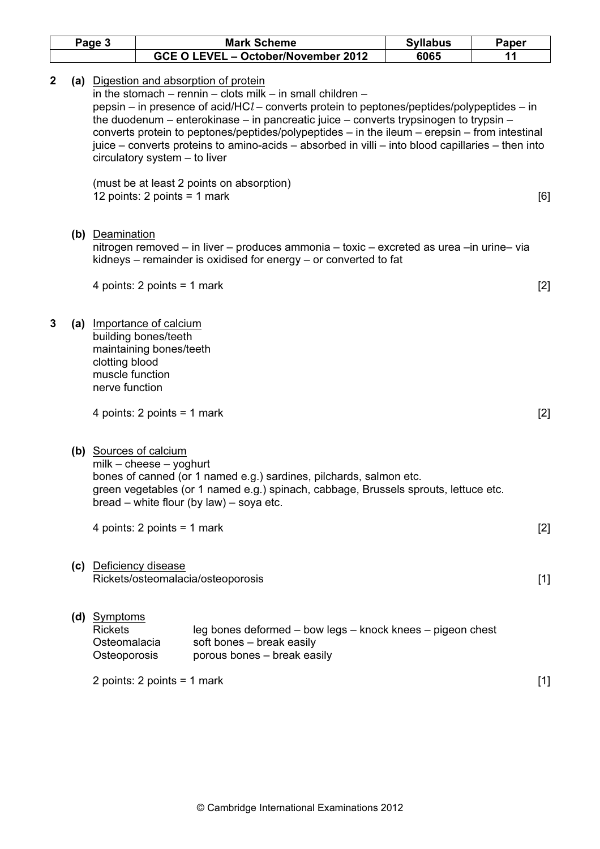|              | Page 3 |                                                                |                                                                              | <b>Mark Scheme</b>                                                                                                                                                                                                                                                                                                                                                                                                                                                                                                                                               | <b>Syllabus</b> | Paper |
|--------------|--------|----------------------------------------------------------------|------------------------------------------------------------------------------|------------------------------------------------------------------------------------------------------------------------------------------------------------------------------------------------------------------------------------------------------------------------------------------------------------------------------------------------------------------------------------------------------------------------------------------------------------------------------------------------------------------------------------------------------------------|-----------------|-------|
|              |        |                                                                |                                                                              | GCE O LEVEL - October/November 2012                                                                                                                                                                                                                                                                                                                                                                                                                                                                                                                              | 6065            | 11    |
| $\mathbf{2}$ |        |                                                                | circulatory system - to liver<br>12 points: 2 points = 1 mark                | (a) Digestion and absorption of protein<br>in the stomach $-$ rennin $-$ clots milk $-$ in small children $-$<br>pepsin – in presence of acid/HC $l$ – converts protein to peptones/peptides/polypeptides – in<br>the duodenum – enterokinase – in pancreatic juice – converts trypsinogen to trypsin –<br>converts protein to peptones/peptides/polypeptides $-$ in the ileum $-$ erepsin $-$ from intestinal<br>juice – converts proteins to amino-acids – absorbed in villi – into blood capillaries – then into<br>(must be at least 2 points on absorption) |                 | [6]   |
|              |        | (b) Deamination                                                |                                                                              | nitrogen removed – in liver – produces ammonia – toxic – excreted as urea – in urine– via<br>kidneys $-$ remainder is oxidised for energy $-$ or converted to fat                                                                                                                                                                                                                                                                                                                                                                                                |                 |       |
|              |        |                                                                | 4 points: 2 points = 1 mark                                                  |                                                                                                                                                                                                                                                                                                                                                                                                                                                                                                                                                                  |                 | $[2]$ |
| 3            |        | clotting blood<br>muscle function<br>nerve function            | (a) Importance of calcium<br>building bones/teeth<br>maintaining bones/teeth |                                                                                                                                                                                                                                                                                                                                                                                                                                                                                                                                                                  |                 |       |
|              |        |                                                                | 4 points: 2 points = 1 mark                                                  |                                                                                                                                                                                                                                                                                                                                                                                                                                                                                                                                                                  |                 | $[2]$ |
|              |        |                                                                | (b) Sources of calcium<br>$milk - cheese - yoghurt$                          | bones of canned (or 1 named e.g.) sardines, pilchards, salmon etc.<br>green vegetables (or 1 named e.g.) spinach, cabbage, Brussels sprouts, lettuce etc.<br>$bread - white flour (by law) - soya etc.$                                                                                                                                                                                                                                                                                                                                                          |                 |       |
|              |        |                                                                | 4 points: $2$ points = 1 mark                                                |                                                                                                                                                                                                                                                                                                                                                                                                                                                                                                                                                                  |                 | $[2]$ |
|              |        |                                                                | (c) Deficiency disease                                                       | Rickets/osteomalacia/osteoporosis                                                                                                                                                                                                                                                                                                                                                                                                                                                                                                                                |                 | $[1]$ |
|              |        | (d) Symptoms<br><b>Rickets</b><br>Osteomalacia<br>Osteoporosis |                                                                              | leg bones deformed – bow legs – knock knees – pigeon chest<br>soft bones - break easily<br>porous bones - break easily                                                                                                                                                                                                                                                                                                                                                                                                                                           |                 |       |
|              |        |                                                                | 2 points: $2$ points = $1$ mark                                              |                                                                                                                                                                                                                                                                                                                                                                                                                                                                                                                                                                  |                 | $[1]$ |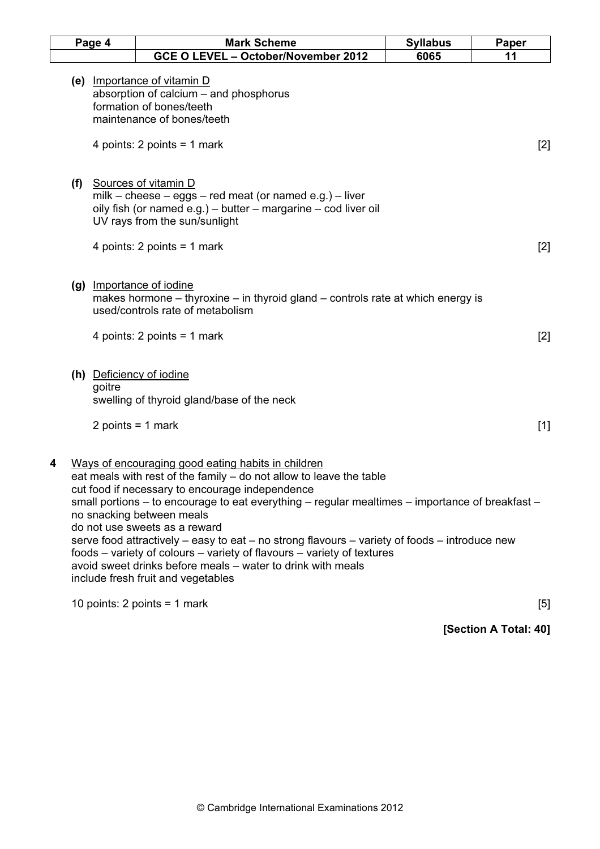|     | Page 4                        | <b>Mark Scheme</b>                                                                                                                                                                                                                                                                                                                                                                                                                                                                                                                                                                                                                    | <b>Syllabus</b> | Paper |
|-----|-------------------------------|---------------------------------------------------------------------------------------------------------------------------------------------------------------------------------------------------------------------------------------------------------------------------------------------------------------------------------------------------------------------------------------------------------------------------------------------------------------------------------------------------------------------------------------------------------------------------------------------------------------------------------------|-----------------|-------|
|     |                               | GCE O LEVEL - October/November 2012                                                                                                                                                                                                                                                                                                                                                                                                                                                                                                                                                                                                   | 6065            | 11    |
|     |                               | (e) Importance of vitamin D<br>absorption of calcium – and phosphorus<br>formation of bones/teeth<br>maintenance of bones/teeth<br>4 points: $2$ points = 1 mark                                                                                                                                                                                                                                                                                                                                                                                                                                                                      |                 | $[2]$ |
| (f) |                               | Sources of vitamin D<br>milk - cheese - eggs - red meat (or named e.g.) - liver<br>oily fish (or named e.g.) – butter – margarine – cod liver oil<br>UV rays from the sun/sunlight                                                                                                                                                                                                                                                                                                                                                                                                                                                    |                 |       |
|     |                               | 4 points: $2$ points = 1 mark                                                                                                                                                                                                                                                                                                                                                                                                                                                                                                                                                                                                         |                 | $[2]$ |
|     |                               | (g) Importance of iodine<br>makes hormone - thyroxine - in thyroid gland - controls rate at which energy is<br>used/controls rate of metabolism<br>4 points: 2 points = 1 mark                                                                                                                                                                                                                                                                                                                                                                                                                                                        |                 | [2]   |
|     | goitre<br>2 points = $1$ mark | (h) Deficiency of iodine<br>swelling of thyroid gland/base of the neck                                                                                                                                                                                                                                                                                                                                                                                                                                                                                                                                                                |                 | $[1]$ |
| 4   |                               | Ways of encouraging good eating habits in children<br>eat meals with rest of the family - do not allow to leave the table<br>cut food if necessary to encourage independence<br>small portions – to encourage to eat everything – regular mealtimes – importance of breakfast –<br>no snacking between meals<br>do not use sweets as a reward<br>serve food attractively $-$ easy to eat $-$ no strong flavours $-$ variety of foods $-$ introduce new<br>foods – variety of colours – variety of flavours – variety of textures<br>avoid sweet drinks before meals – water to drink with meals<br>include fresh fruit and vegetables |                 |       |
|     |                               | 10 points: $2$ points = 1 mark                                                                                                                                                                                                                                                                                                                                                                                                                                                                                                                                                                                                        |                 | [5]   |

[Section A Total: 40]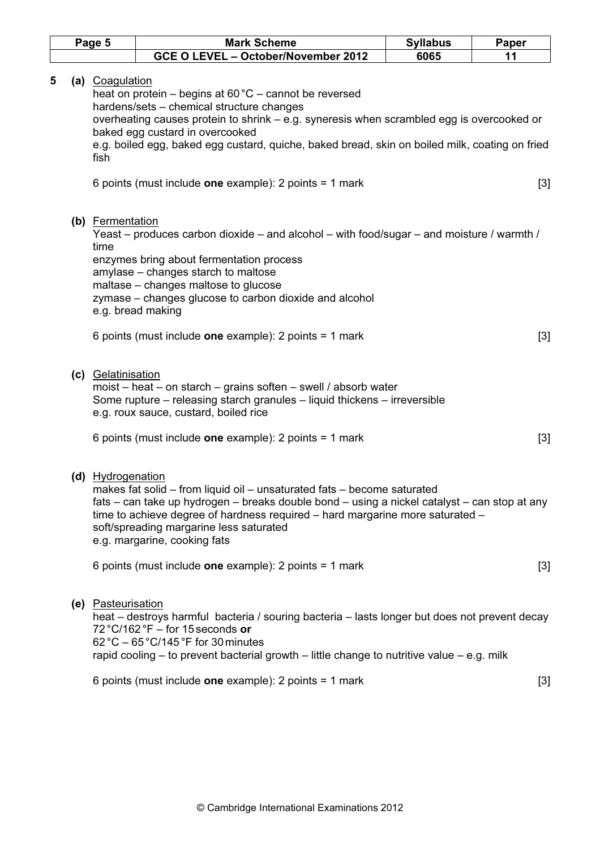|   | Page 5 |                          | <b>Mark Scheme</b>                                                                                                                                                                                                                                                                                                                                                                              | <b>Syllabus</b> | Paper |
|---|--------|--------------------------|-------------------------------------------------------------------------------------------------------------------------------------------------------------------------------------------------------------------------------------------------------------------------------------------------------------------------------------------------------------------------------------------------|-----------------|-------|
|   |        |                          | GCE O LEVEL - October/November 2012                                                                                                                                                                                                                                                                                                                                                             | 6065            | 11    |
| 5 |        | (a) Coagulation<br>fish  | heat on protein – begins at 60 °C – cannot be reversed<br>hardens/sets - chemical structure changes<br>overheating causes protein to shrink – e.g. syneresis when scrambled egg is overcooked or<br>baked egg custard in overcooked<br>e.g. boiled egg, baked egg custard, quiche, baked bread, skin on boiled milk, coating on fried<br>6 points (must include one example): 2 points = 1 mark |                 | $[3]$ |
|   |        | (b) Fermentation<br>time | Yeast – produces carbon dioxide – and alcohol – with food/sugar – and moisture / warmth /<br>enzymes bring about fermentation process<br>amylase - changes starch to maltose<br>maltase - changes maltose to glucose<br>zymase - changes glucose to carbon dioxide and alcohol<br>e.g. bread making<br>6 points (must include one example): 2 points = 1 mark                                   |                 | $[3]$ |
|   |        | (c) Gelatinisation       | moist – heat – on starch – grains soften – swell / absorb water<br>Some rupture – releasing starch granules – liquid thickens – irreversible<br>e.g. roux sauce, custard, boiled rice<br>6 points (must include one example): 2 points = 1 mark                                                                                                                                                 |                 | $[3]$ |
|   |        | (d) Hydrogenation        | makes fat solid - from liquid oil - unsaturated fats - become saturated<br>fats – can take up hydrogen – breaks double bond – using a nickel catalyst – can stop at any<br>time to achieve degree of hardness required - hard margarine more saturated -<br>soft/spreading margarine less saturated<br>e.g. margarine, cooking fats<br>6 points (must include one example): 2 points = 1 mark   |                 | $[3]$ |
|   |        | (e) Pasteurisation       | heat – destroys harmful bacteria / souring bacteria – lasts longer but does not prevent decay<br>$72^{\circ}$ C/162 °F – for 15 seconds or<br>$62^{\circ}$ C – 65 $^{\circ}$ C/145 $^{\circ}$ F for 30 minutes<br>rapid cooling $-$ to prevent bacterial growth $-$ little change to nutritive value $-$ e.g. milk                                                                              |                 |       |
|   |        |                          | 6 points (must include one example): 2 points = 1 mark                                                                                                                                                                                                                                                                                                                                          |                 | $[3]$ |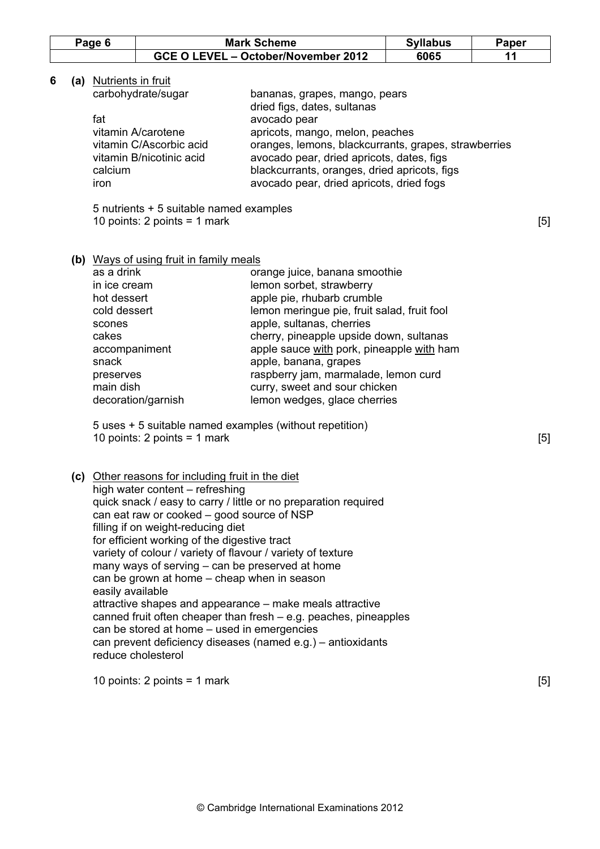|   | Page 6                                                                                                                           | <b>Mark Scheme</b><br><b>Syllabus</b>                                                                                                                                                                                                                                                                                                                                                                                             |                                                                                                                                                                                                                                                                                                                                                                                                                                                          | Paper |     |
|---|----------------------------------------------------------------------------------------------------------------------------------|-----------------------------------------------------------------------------------------------------------------------------------------------------------------------------------------------------------------------------------------------------------------------------------------------------------------------------------------------------------------------------------------------------------------------------------|----------------------------------------------------------------------------------------------------------------------------------------------------------------------------------------------------------------------------------------------------------------------------------------------------------------------------------------------------------------------------------------------------------------------------------------------------------|-------|-----|
|   |                                                                                                                                  |                                                                                                                                                                                                                                                                                                                                                                                                                                   | GCE O LEVEL - October/November 2012                                                                                                                                                                                                                                                                                                                                                                                                                      | 6065  | 11  |
| 6 | (a) Nutrients in fruit<br>fat<br>calcium<br>iron                                                                                 | carbohydrate/sugar<br>vitamin A/carotene<br>vitamin C/Ascorbic acid<br>vitamin B/nicotinic acid<br>5 nutrients + 5 suitable named examples<br>10 points: $2$ points = 1 mark                                                                                                                                                                                                                                                      | oranges, lemons, blackcurrants, grapes, strawberries<br>[5]                                                                                                                                                                                                                                                                                                                                                                                              |       |     |
|   | as a drink<br>in ice cream<br>hot dessert<br>cold dessert<br>scones<br>cakes<br>accompaniment<br>snack<br>preserves<br>main dish | (b) Ways of using fruit in family meals<br>decoration/garnish                                                                                                                                                                                                                                                                                                                                                                     | orange juice, banana smoothie<br>lemon sorbet, strawberry<br>apple pie, rhubarb crumble<br>lemon meringue pie, fruit salad, fruit fool<br>apple, sultanas, cherries<br>cherry, pineapple upside down, sultanas<br>apple sauce with pork, pineapple with ham<br>apple, banana, grapes<br>raspberry jam, marmalade, lemon curd<br>curry, sweet and sour chicken<br>lemon wedges, glace cherries<br>5 uses + 5 suitable named examples (without repetition) |       |     |
|   | easily available                                                                                                                 | 10 points: $2$ points = 1 mark<br>(c) Other reasons for including fruit in the diet<br>high water content - refreshing<br>can eat raw or cooked – good source of NSP<br>filling if on weight-reducing diet<br>for efficient working of the digestive tract<br>many ways of serving – can be preserved at home<br>can be grown at home – cheap when in season<br>can be stored at home - used in emergencies<br>reduce cholesterol | quick snack / easy to carry / little or no preparation required<br>variety of colour / variety of flavour / variety of texture<br>attractive shapes and appearance – make meals attractive<br>canned fruit often cheaper than fresh $-$ e.g. peaches, pineapples<br>can prevent deficiency diseases (named e.g.) – antioxidants                                                                                                                          |       | [5] |
|   |                                                                                                                                  | 10 points: 2 points = 1 mark                                                                                                                                                                                                                                                                                                                                                                                                      |                                                                                                                                                                                                                                                                                                                                                                                                                                                          |       | [5] |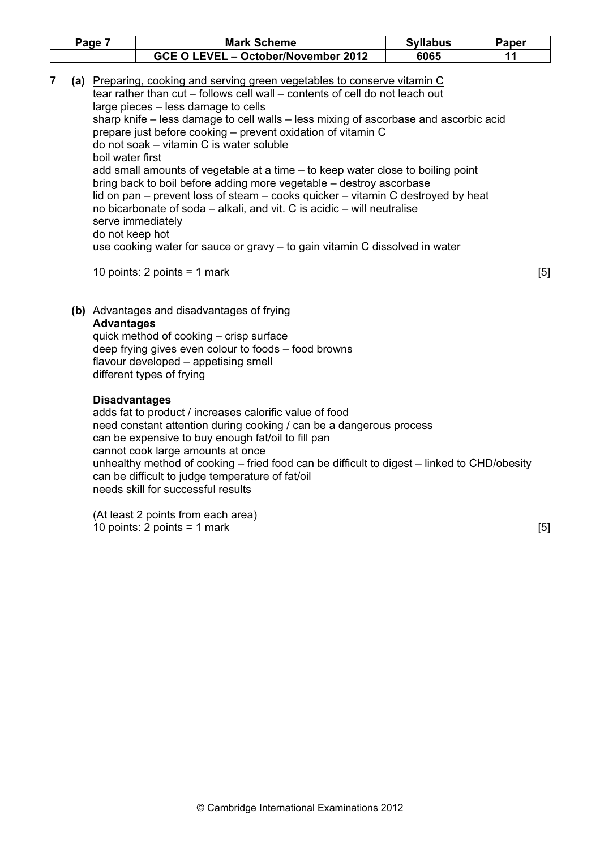| Page | <b>Mark Scheme</b>                  | <b>Syllabus</b> | Paper |
|------|-------------------------------------|-----------------|-------|
|      | GCE O LEVEL - October/November 2012 | 6065            |       |

7 (a) Preparing, cooking and serving green vegetables to conserve vitamin C tear rather than cut – follows cell wall – contents of cell do not leach out large pieces – less damage to cells sharp knife – less damage to cell walls – less mixing of ascorbase and ascorbic acid prepare just before cooking – prevent oxidation of vitamin C do not soak – vitamin C is water soluble boil water first add small amounts of vegetable at a time – to keep water close to boiling point bring back to boil before adding more vegetable – destroy ascorbase lid on pan – prevent loss of steam – cooks quicker – vitamin C destroyed by heat no bicarbonate of soda – alkali, and vit. C is acidic – will neutralise serve immediately do not keep hot use cooking water for sauce or gravy – to gain vitamin C dissolved in water

10 points:  $2$  points = 1 mark  $\qquad \qquad$  [5]

 (b) Advantages and disadvantages of frying Advantages

 quick method of cooking – crisp surface deep frying gives even colour to foods – food browns flavour developed – appetising smell different types of frying

# Disadvantages

 adds fat to product / increases calorific value of food need constant attention during cooking / can be a dangerous process can be expensive to buy enough fat/oil to fill pan cannot cook large amounts at once unhealthy method of cooking – fried food can be difficult to digest – linked to CHD/obesity can be difficult to judge temperature of fat/oil needs skill for successful results

 (At least 2 points from each area) 10 points:  $2$  points = 1 mark  $[5]$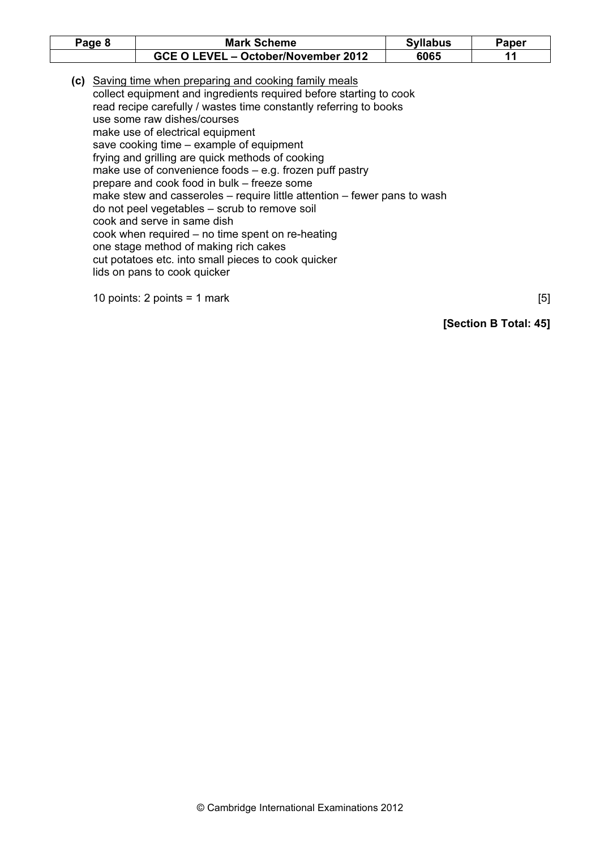| Page 8 | <b>Mark Scheme</b>                                                                                                                                                                                                                                                                                                                                                                                                                                                                                                                                                                                                                                                                                                                                                                                                                  | <b>Syllabus</b> | Paper |
|--------|-------------------------------------------------------------------------------------------------------------------------------------------------------------------------------------------------------------------------------------------------------------------------------------------------------------------------------------------------------------------------------------------------------------------------------------------------------------------------------------------------------------------------------------------------------------------------------------------------------------------------------------------------------------------------------------------------------------------------------------------------------------------------------------------------------------------------------------|-----------------|-------|
|        | GCE O LEVEL - October/November 2012                                                                                                                                                                                                                                                                                                                                                                                                                                                                                                                                                                                                                                                                                                                                                                                                 | 6065            | 11    |
|        | (c) Saving time when preparing and cooking family meals<br>collect equipment and ingredients required before starting to cook<br>read recipe carefully / wastes time constantly referring to books<br>use some raw dishes/courses<br>make use of electrical equipment<br>save cooking time – example of equipment<br>frying and grilling are quick methods of cooking<br>make use of convenience foods $-$ e.g. frozen puff pastry<br>prepare and cook food in bulk – freeze some<br>make stew and casseroles – require little attention – fewer pans to wash<br>do not peel vegetables - scrub to remove soil<br>cook and serve in same dish<br>cook when required $-$ no time spent on re-heating<br>one stage method of making rich cakes<br>cut potatoes etc. into small pieces to cook quicker<br>lids on pans to cook quicker |                 |       |

10 points:  $2$  points = 1 mark  $[5]$ 

[Section B Total: 45]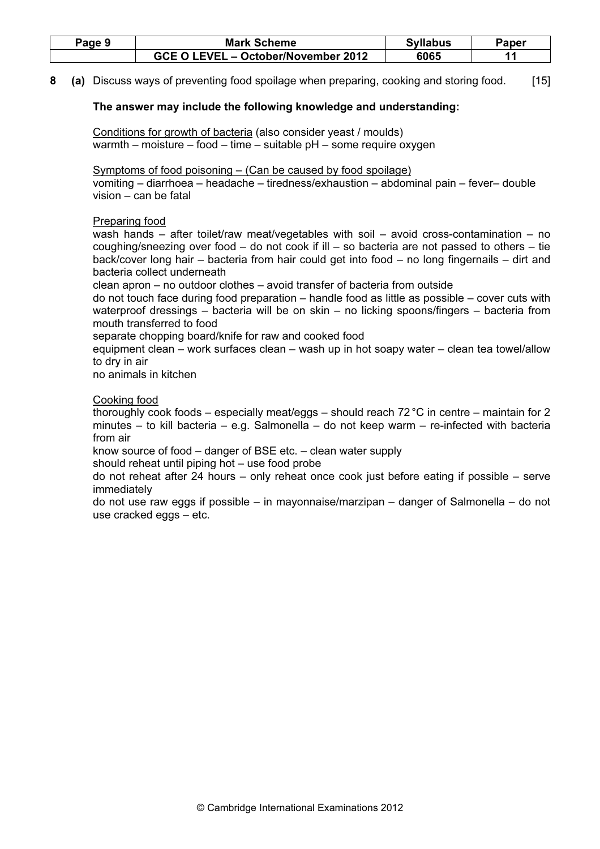| Page 9 | <b>Mark Scheme</b>                  | <b>Syllabus</b> | Paper |
|--------|-------------------------------------|-----------------|-------|
|        | GCE O LEVEL – October/November 2012 | 6065            |       |

8 (a) Discuss ways of preventing food spoilage when preparing, cooking and storing food. [15]

# The answer may include the following knowledge and understanding:

 Conditions for growth of bacteria (also consider yeast / moulds) warmth – moisture – food – time – suitable pH – some require oxygen

 Symptoms of food poisoning – (Can be caused by food spoilage) vomiting – diarrhoea – headache – tiredness/exhaustion – abdominal pain – fever– double vision – can be fatal

# Preparing food

 wash hands – after toilet/raw meat/vegetables with soil – avoid cross-contamination – no coughing/sneezing over food  $-$  do not cook if ill  $-$  so bacteria are not passed to others  $-$  tie back/cover long hair – bacteria from hair could get into food – no long fingernails – dirt and bacteria collect underneath

clean apron – no outdoor clothes – avoid transfer of bacteria from outside

 do not touch face during food preparation – handle food as little as possible – cover cuts with waterproof dressings – bacteria will be on skin – no licking spoons/fingers – bacteria from mouth transferred to food

separate chopping board/knife for raw and cooked food

 equipment clean – work surfaces clean – wash up in hot soapy water – clean tea towel/allow to dry in air

no animals in kitchen

# Cooking food

 thoroughly cook foods – especially meat/eggs – should reach 72 °C in centre – maintain for 2 minutes – to kill bacteria – e.g. Salmonella – do not keep warm – re-infected with bacteria from air

know source of food – danger of BSE etc. – clean water supply

should reheat until piping hot – use food probe

 do not reheat after 24 hours – only reheat once cook just before eating if possible – serve immediately

 do not use raw eggs if possible – in mayonnaise/marzipan – danger of Salmonella – do not use cracked eggs – etc.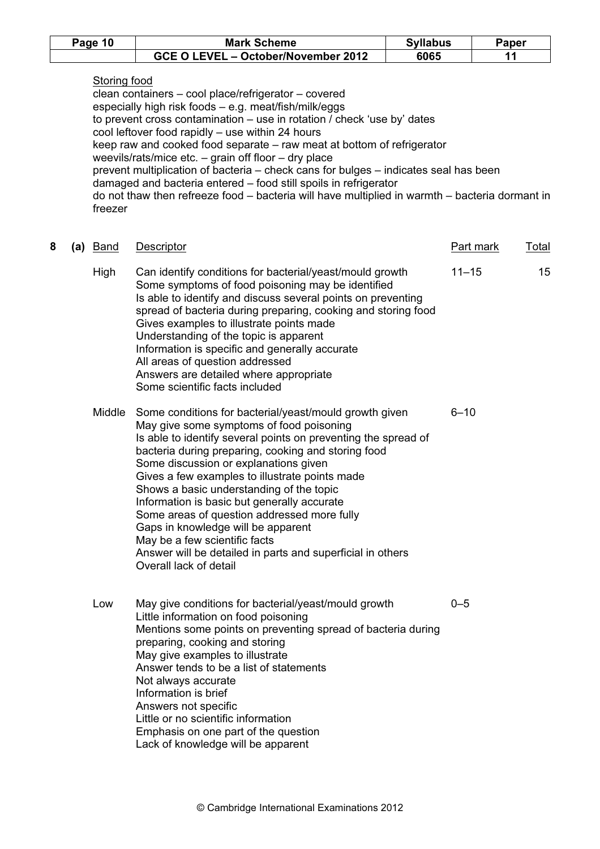| Page 10 | <b>Mark Scheme</b>                  | <b>Syllabus</b> | Paper |
|---------|-------------------------------------|-----------------|-------|
|         | GCE O LEVEL - October/November 2012 | 6065            |       |

# Storing food

 clean containers – cool place/refrigerator – covered especially high risk foods – e.g. meat/fish/milk/eggs to prevent cross contamination – use in rotation / check 'use by' dates cool leftover food rapidly – use within 24 hours keep raw and cooked food separate – raw meat at bottom of refrigerator weevils/rats/mice etc. – grain off floor – dry place prevent multiplication of bacteria – check cans for bulges – indicates seal has been damaged and bacteria entered – food still spoils in refrigerator do not thaw then refreeze food – bacteria will have multiplied in warmth – bacteria dormant in freezer

| 8 | (a) <b>Band</b> | <b>Descriptor</b>                                                                                                                                                                                                                                                                                                                                                                                                                                                                                                                                                                                                               | Part mark | Total |
|---|-----------------|---------------------------------------------------------------------------------------------------------------------------------------------------------------------------------------------------------------------------------------------------------------------------------------------------------------------------------------------------------------------------------------------------------------------------------------------------------------------------------------------------------------------------------------------------------------------------------------------------------------------------------|-----------|-------|
|   | High            | Can identify conditions for bacterial/yeast/mould growth<br>Some symptoms of food poisoning may be identified<br>Is able to identify and discuss several points on preventing<br>spread of bacteria during preparing, cooking and storing food<br>Gives examples to illustrate points made<br>Understanding of the topic is apparent<br>Information is specific and generally accurate<br>All areas of question addressed<br>Answers are detailed where appropriate<br>Some scientific facts included                                                                                                                           | $11 - 15$ | 15    |
|   | Middle          | Some conditions for bacterial/yeast/mould growth given<br>May give some symptoms of food poisoning<br>Is able to identify several points on preventing the spread of<br>bacteria during preparing, cooking and storing food<br>Some discussion or explanations given<br>Gives a few examples to illustrate points made<br>Shows a basic understanding of the topic<br>Information is basic but generally accurate<br>Some areas of question addressed more fully<br>Gaps in knowledge will be apparent<br>May be a few scientific facts<br>Answer will be detailed in parts and superficial in others<br>Overall lack of detail | $6 - 10$  |       |
|   | Low             | May give conditions for bacterial/yeast/mould growth<br>Little information on food poisoning<br>Mentions some points on preventing spread of bacteria during<br>preparing, cooking and storing<br>May give examples to illustrate<br>Answer tends to be a list of statements<br>Not always accurate<br>Information is brief<br>Answers not specific<br>Little or no scientific information<br>Emphasis on one part of the question<br>Lack of knowledge will be apparent                                                                                                                                                        | $0 - 5$   |       |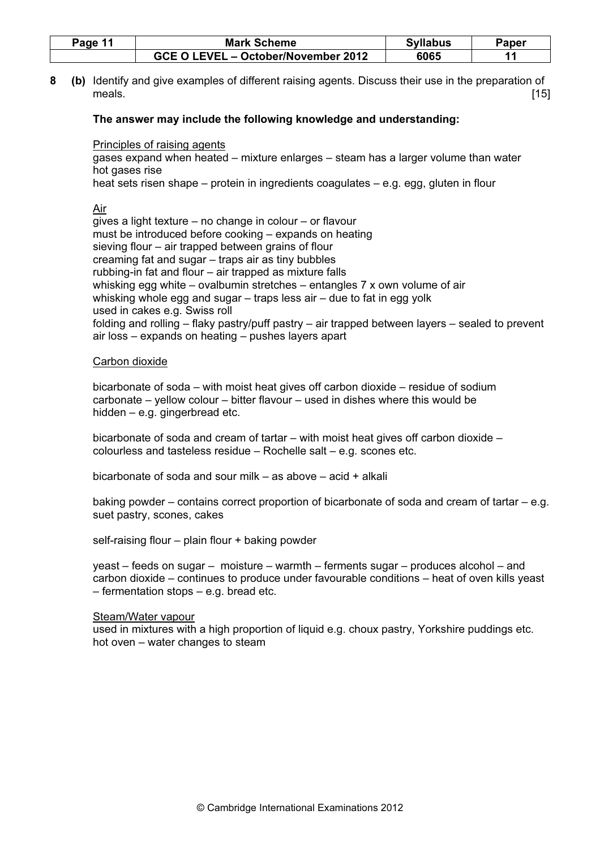| Page 11 | <b>Mark Scheme</b>                  | <b>Syllabus</b> | Paper |
|---------|-------------------------------------|-----------------|-------|
|         | GCE O LEVEL - October/November 2012 | 6065            |       |

8 (b) Identify and give examples of different raising agents. Discuss their use in the preparation of meals.  $[15]$ 

#### The answer may include the following knowledge and understanding:

#### Principles of raising agents

 gases expand when heated – mixture enlarges – steam has a larger volume than water hot gases rise

heat sets risen shape – protein in ingredients coagulates – e.g. egg, gluten in flour

#### Air

 gives a light texture – no change in colour – or flavour must be introduced before cooking – expands on heating sieving flour – air trapped between grains of flour creaming fat and sugar – traps air as tiny bubbles rubbing-in fat and flour – air trapped as mixture falls whisking egg white – ovalbumin stretches – entangles 7 x own volume of air whisking whole egg and sugar – traps less air – due to fat in egg yolk used in cakes e.g. Swiss roll folding and rolling – flaky pastry/puff pastry – air trapped between layers – sealed to prevent air loss – expands on heating – pushes layers apart

#### Carbon dioxide

 bicarbonate of soda – with moist heat gives off carbon dioxide – residue of sodium carbonate – yellow colour – bitter flavour – used in dishes where this would be hidden – e.g. gingerbread etc.

 bicarbonate of soda and cream of tartar – with moist heat gives off carbon dioxide – colourless and tasteless residue – Rochelle salt – e.g. scones etc.

bicarbonate of soda and sour milk – as above – acid + alkali

 baking powder – contains correct proportion of bicarbonate of soda and cream of tartar – e.g. suet pastry, scones, cakes

self-raising flour – plain flour + baking powder

 yeast – feeds on sugar – moisture – warmth – ferments sugar – produces alcohol – and carbon dioxide – continues to produce under favourable conditions – heat of oven kills yeast – fermentation stops – e.g. bread etc.

#### Steam/Water vapour

 used in mixtures with a high proportion of liquid e.g. choux pastry, Yorkshire puddings etc. hot oven – water changes to steam